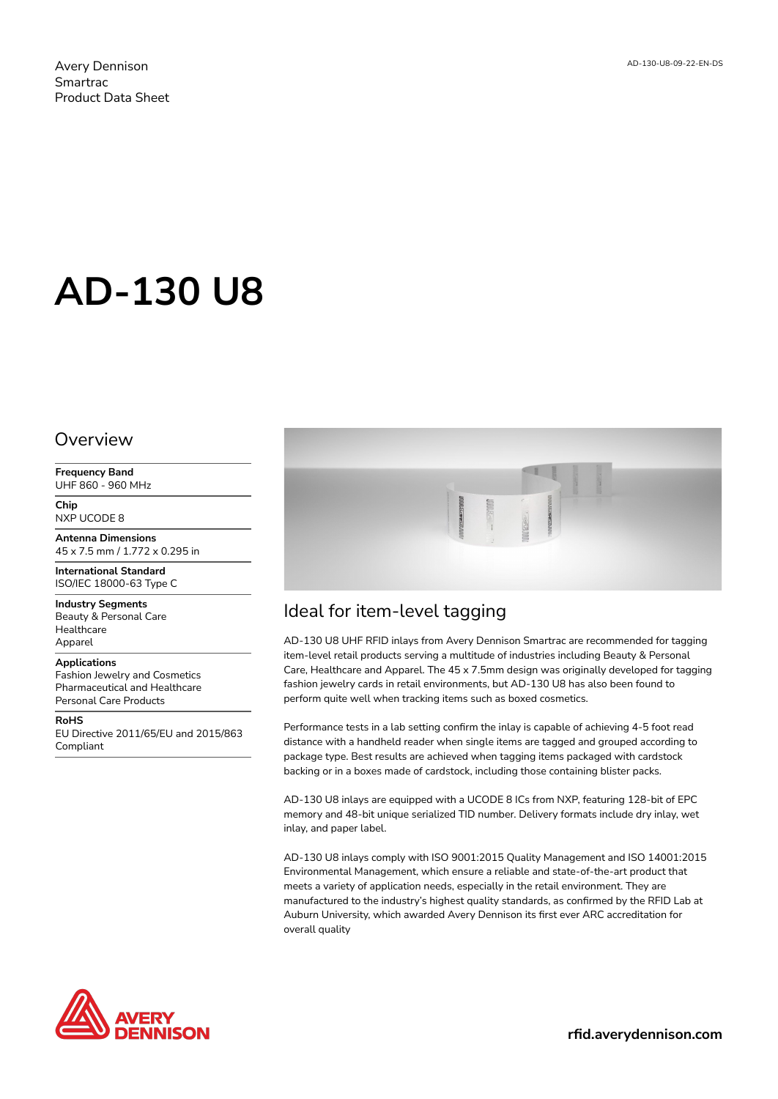# **AD-130 U8**

#### Overview

**Frequency Band** UHF 860 - 960 MHz

**Chip** NXP UCODE 8

**Antenna Dimensions** 45 x 7.5 mm / 1.772 x 0.295 in

**International Standard** ISO/IEC 18000-63 Type C

**Industry Segments** Beauty & Personal Care Healthcare Apparel

#### **Applications**

Fashion Jewelry and Cosmetics Pharmaceutical and Healthcare Personal Care Products

**RoHS** EU Directive 2011/65/EU and 2015/863 Compliant



## Ideal for item-level tagging

AD-130 U8 UHF RFID inlays from Avery Dennison Smartrac are recommended for tagging item-level retail products serving a multitude of industries including Beauty & Personal Care, Healthcare and Apparel. The 45 x 7.5mm design was originally developed for tagging fashion jewelry cards in retail environments, but AD-130 U8 has also been found to perform quite well when tracking items such as boxed cosmetics.

Performance tests in a lab setting confirm the inlay is capable of achieving 4-5 foot read distance with a handheld reader when single items are tagged and grouped according to package type. Best results are achieved when tagging items packaged with cardstock backing or in a boxes made of cardstock, including those containing blister packs.

AD-130 U8 inlays are equipped with a UCODE 8 ICs from NXP, featuring 128-bit of EPC memory and 48-bit unique serialized TID number. Delivery formats include dry inlay, wet inlay, and paper label.

AD-130 U8 inlays comply with ISO 9001:2015 Quality Management and ISO 14001:2015 Environmental Management, which ensure a reliable and state-of-the-art product that meets a variety of application needs, especially in the retail environment. They are manufactured to the industry's highest quality standards, as confirmed by the RFID Lab at Auburn University, which awarded Avery Dennison its first ever ARC accreditation for overall quality